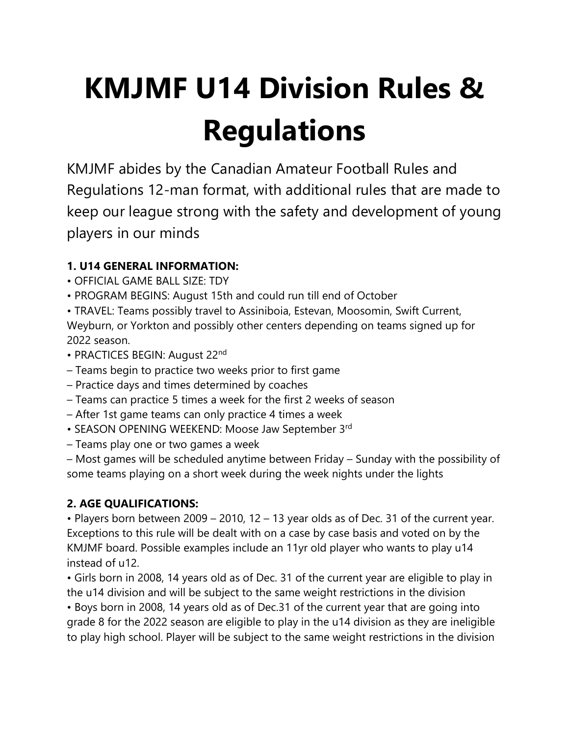# **KMJMF U14 Division Rules & Regulations**

KMJMF abides by the Canadian Amateur Football Rules and Regulations 12-man format, with additional rules that are made to keep our league strong with the safety and development of young players in our minds

# **1. U14 GENERAL INFORMATION:**

- OFFICIAL GAME BALL SIZE: TDY
- PROGRAM BEGINS: August 15th and could run till end of October

• TRAVEL: Teams possibly travel to Assiniboia, Estevan, Moosomin, Swift Current, Weyburn, or Yorkton and possibly other centers depending on teams signed up for 2022 season.

- PRACTICES BEGIN: August 22<sup>nd</sup>
- Teams begin to practice two weeks prior to first game
- Practice days and times determined by coaches
- Teams can practice 5 times a week for the first 2 weeks of season
- After 1st game teams can only practice 4 times a week
- SEASON OPENING WEEKEND: Moose Jaw September 3rd
- Teams play one or two games a week

– Most games will be scheduled anytime between Friday – Sunday with the possibility of some teams playing on a short week during the week nights under the lights

# **2. AGE QUALIFICATIONS:**

• Players born between 2009 – 2010, 12 – 13 year olds as of Dec. 31 of the current year. Exceptions to this rule will be dealt with on a case by case basis and voted on by the KMJMF board. Possible examples include an 11yr old player who wants to play u14 instead of u12.

• Girls born in 2008, 14 years old as of Dec. 31 of the current year are eligible to play in the u14 division and will be subject to the same weight restrictions in the division

• Boys born in 2008, 14 years old as of Dec.31 of the current year that are going into grade 8 for the 2022 season are eligible to play in the u14 division as they are ineligible to play high school. Player will be subject to the same weight restrictions in the division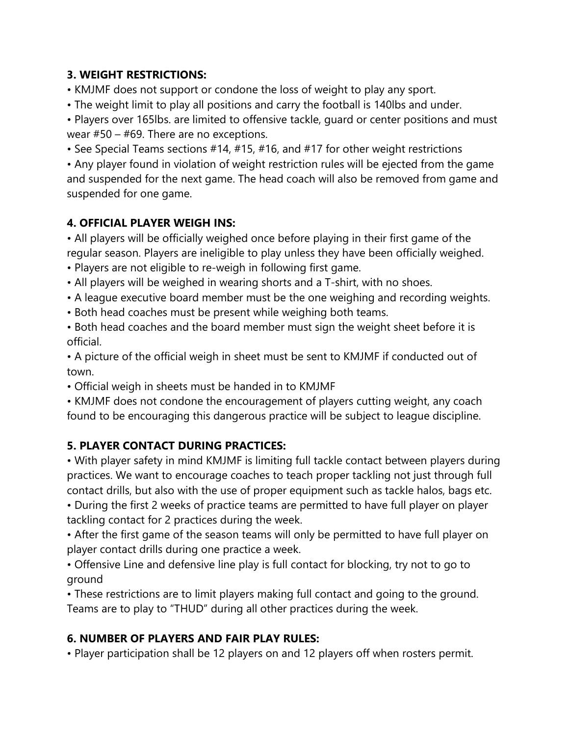#### **3. WEIGHT RESTRICTIONS:**

• KMJMF does not support or condone the loss of weight to play any sport.

• The weight limit to play all positions and carry the football is 140lbs and under.

• Players over 165lbs. are limited to offensive tackle, guard or center positions and must wear #50 – #69. There are no exceptions.

• See Special Teams sections #14, #15, #16, and #17 for other weight restrictions

• Any player found in violation of weight restriction rules will be ejected from the game and suspended for the next game. The head coach will also be removed from game and suspended for one game.

### **4. OFFICIAL PLAYER WEIGH INS:**

• All players will be officially weighed once before playing in their first game of the regular season. Players are ineligible to play unless they have been officially weighed.

- Players are not eligible to re-weigh in following first game.
- All players will be weighed in wearing shorts and a T-shirt, with no shoes.
- A league executive board member must be the one weighing and recording weights.
- Both head coaches must be present while weighing both teams.

• Both head coaches and the board member must sign the weight sheet before it is official.

• A picture of the official weigh in sheet must be sent to KMJMF if conducted out of town.

• Official weigh in sheets must be handed in to KMJMF

• KMJMF does not condone the encouragement of players cutting weight, any coach found to be encouraging this dangerous practice will be subject to league discipline.

# **5. PLAYER CONTACT DURING PRACTICES:**

• With player safety in mind KMJMF is limiting full tackle contact between players during practices. We want to encourage coaches to teach proper tackling not just through full contact drills, but also with the use of proper equipment such as tackle halos, bags etc. • During the first 2 weeks of practice teams are permitted to have full player on player tackling contact for 2 practices during the week.

• After the first game of the season teams will only be permitted to have full player on player contact drills during one practice a week.

• Offensive Line and defensive line play is full contact for blocking, try not to go to ground

• These restrictions are to limit players making full contact and going to the ground. Teams are to play to "THUD" during all other practices during the week.

# **6. NUMBER OF PLAYERS AND FAIR PLAY RULES:**

• Player participation shall be 12 players on and 12 players off when rosters permit.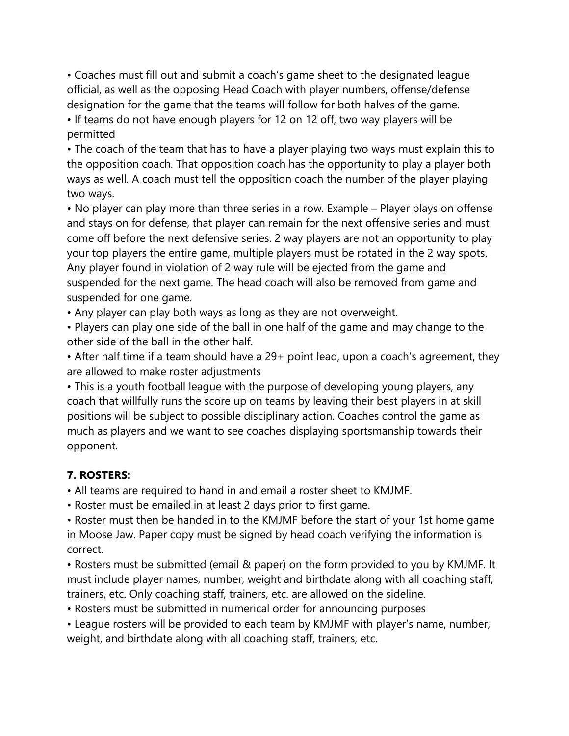• Coaches must fill out and submit a coach's game sheet to the designated league official, as well as the opposing Head Coach with player numbers, offense/defense designation for the game that the teams will follow for both halves of the game. • If teams do not have enough players for 12 on 12 off, two way players will be permitted

• The coach of the team that has to have a player playing two ways must explain this to the opposition coach. That opposition coach has the opportunity to play a player both ways as well. A coach must tell the opposition coach the number of the player playing two ways.

• No player can play more than three series in a row. Example – Player plays on offense and stays on for defense, that player can remain for the next offensive series and must come off before the next defensive series. 2 way players are not an opportunity to play your top players the entire game, multiple players must be rotated in the 2 way spots. Any player found in violation of 2 way rule will be ejected from the game and suspended for the next game. The head coach will also be removed from game and suspended for one game.

• Any player can play both ways as long as they are not overweight.

• Players can play one side of the ball in one half of the game and may change to the other side of the ball in the other half.

• After half time if a team should have a 29+ point lead, upon a coach's agreement, they are allowed to make roster adjustments

• This is a youth football league with the purpose of developing young players, any coach that willfully runs the score up on teams by leaving their best players in at skill positions will be subject to possible disciplinary action. Coaches control the game as much as players and we want to see coaches displaying sportsmanship towards their opponent.

#### **7. ROSTERS:**

• All teams are required to hand in and email a roster sheet to KMJMF.

• Roster must be emailed in at least 2 days prior to first game.

• Roster must then be handed in to the KMJMF before the start of your 1st home game in Moose Jaw. Paper copy must be signed by head coach verifying the information is correct.

• Rosters must be submitted (email & paper) on the form provided to you by KMJMF. It must include player names, number, weight and birthdate along with all coaching staff, trainers, etc. Only coaching staff, trainers, etc. are allowed on the sideline.

• Rosters must be submitted in numerical order for announcing purposes

• League rosters will be provided to each team by KMJMF with player's name, number, weight, and birthdate along with all coaching staff, trainers, etc.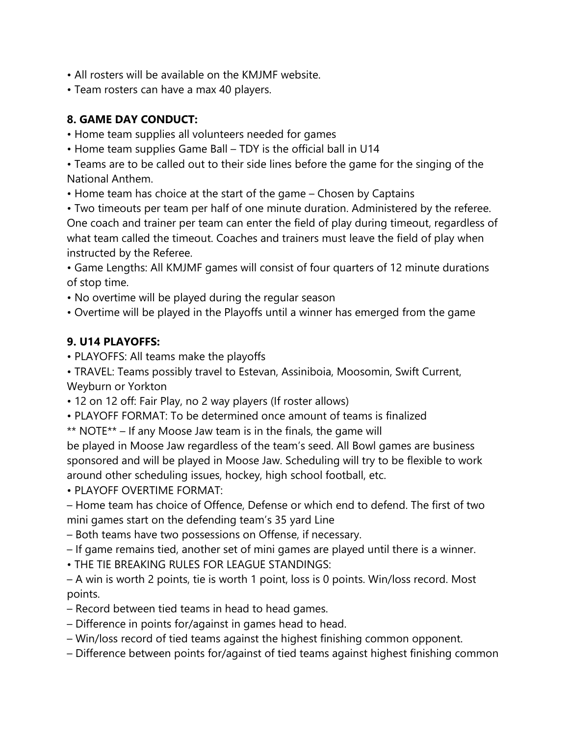- All rosters will be available on the KMJMF website.
- Team rosters can have a max 40 players.

### **8. GAME DAY CONDUCT:**

- Home team supplies all volunteers needed for games
- Home team supplies Game Ball TDY is the official ball in U14

• Teams are to be called out to their side lines before the game for the singing of the National Anthem.

• Home team has choice at the start of the game – Chosen by Captains

• Two timeouts per team per half of one minute duration. Administered by the referee. One coach and trainer per team can enter the field of play during timeout, regardless of what team called the timeout. Coaches and trainers must leave the field of play when instructed by the Referee.

• Game Lengths: All KMJMF games will consist of four quarters of 12 minute durations of stop time.

• No overtime will be played during the regular season

• Overtime will be played in the Playoffs until a winner has emerged from the game

#### **9. U14 PLAYOFFS:**

• PLAYOFFS: All teams make the playoffs

• TRAVEL: Teams possibly travel to Estevan, Assiniboia, Moosomin, Swift Current, Weyburn or Yorkton

- 12 on 12 off: Fair Play, no 2 way players (If roster allows)
- PLAYOFF FORMAT: To be determined once amount of teams is finalized
- \*\* NOTE\*\* If any Moose Jaw team is in the finals, the game will

be played in Moose Jaw regardless of the team's seed. All Bowl games are business sponsored and will be played in Moose Jaw. Scheduling will try to be flexible to work around other scheduling issues, hockey, high school football, etc.

• PLAYOFF OVERTIME FORMAT:

– Home team has choice of Offence, Defense or which end to defend. The first of two mini games start on the defending team's 35 yard Line

– Both teams have two possessions on Offense, if necessary.

– If game remains tied, another set of mini games are played until there is a winner.

• THE TIF BREAKING RULES FOR LEAGUE STANDINGS:

– A win is worth 2 points, tie is worth 1 point, loss is 0 points. Win/loss record. Most points.

- Record between tied teams in head to head games.
- Difference in points for/against in games head to head.
- Win/loss record of tied teams against the highest finishing common opponent.
- Difference between points for/against of tied teams against highest finishing common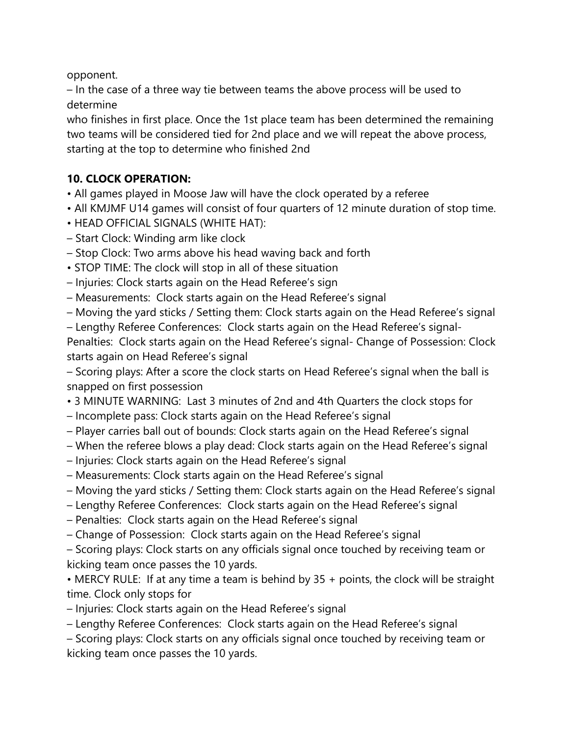opponent.

– In the case of a three way tie between teams the above process will be used to determine

who finishes in first place. Once the 1st place team has been determined the remaining two teams will be considered tied for 2nd place and we will repeat the above process, starting at the top to determine who finished 2nd

# **10. CLOCK OPERATION:**

- All games played in Moose Jaw will have the clock operated by a referee
- All KMJMF U14 games will consist of four quarters of 12 minute duration of stop time.
- HEAD OFFICIAL SIGNALS (WHITE HAT):
- Start Clock: Winding arm like clock
- Stop Clock: Two arms above his head waving back and forth
- STOP TIME: The clock will stop in all of these situation
- Injuries: Clock starts again on the Head Referee's sign
- Measurements: Clock starts again on the Head Referee's signal

– Moving the yard sticks / Setting them: Clock starts again on the Head Referee's signal

– Lengthy Referee Conferences: Clock starts again on the Head Referee's signal -

Penalties: Clock starts again on the Head Referee's signal- Change of Possession: Clock starts again on Head Referee's signal

– Scoring plays: After a score the clock starts on Head Referee's signal when the ball is snapped on first possession

- 3 MINUTE WARNING: Last 3 minutes of 2nd and 4th Quarters the clock stops for
- Incomplete pass: Clock starts again on the Head Referee's signal
- Player carries ball out of bounds: Clock starts again on the Head Referee's signal
- When the referee blows a play dead: Clock starts again on the Head Referee's signal
- Injuries: Clock starts again on the Head Referee's signal
- Measurements: Clock starts again on the Head Referee's signal
- Moving the yard sticks / Setting them: Clock starts again on the Head Referee's signal
- Lengthy Referee Conferences: Clock starts again on the Head Referee's signal
- Penalties: Clock starts again on the Head Referee's signal
- Change of Possession: Clock starts again on the Head Referee's signal

– Scoring plays: Clock starts on any officials signal once touched by receiving team or kicking team once passes the 10 yards.

• MERCY RULE: If at any time a team is behind by 35 + points, the clock will be straight time. Clock only stops for

– Injuries: Clock starts again on the Head Referee's signal

– Lengthy Referee Conferences: Clock starts again on the Head Referee's signal

– Scoring plays: Clock starts on any officials signal once touched by receiving team or kicking team once passes the 10 yards.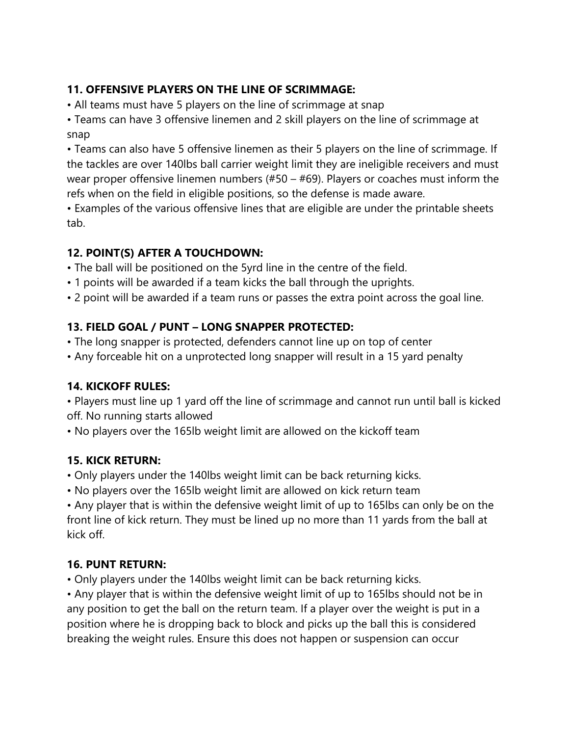#### **11. OFFENSIVE PLAYERS ON THE LINE OF SCRIMMAGE:**

• All teams must have 5 players on the line of scrimmage at snap

• Teams can have 3 offensive linemen and 2 skill players on the line of scrimmage at snap

• Teams can also have 5 offensive linemen as their 5 players on the line of scrimmage. If the tackles are over 140lbs ball carrier weight limit they are ineligible receivers and must wear proper offensive linemen numbers ( $#50 - #69$ ). Players or coaches must inform the refs when on the field in eligible positions, so the defense is made aware.

• Examples of the various offensive lines that are eligible are under the printable sheets tab.

### **12. POINT(S) AFTER A TOUCHDOWN:**

• The ball will be positioned on the 5yrd line in the centre of the field.

- 1 points will be awarded if a team kicks the ball through the uprights.
- 2 point will be awarded if a team runs or passes the extra point across the goal line.

# **13. FIELD GOAL / PUNT – LONG SNAPPER PROTECTED:**

- The long snapper is protected, defenders cannot line up on top of center
- Any forceable hit on a unprotected long snapper will result in a 15 yard penalty

#### **14. KICKOFF RULES:**

• Players must line up 1 yard off the line of scrimmage and cannot run until ball is kicked off. No running starts allowed

• No players over the 165lb weight limit are allowed on the kickoff team

# **15. KICK RETURN:**

• Only players under the 140lbs weight limit can be back returning kicks.

• No players over the 165lb weight limit are allowed on kick return team

• Any player that is within the defensive weight limit of up to 165lbs can only be on the front line of kick return. They must be lined up no more than 11 yards from the ball at kick off.

#### **16. PUNT RETURN:**

• Only players under the 140lbs weight limit can be back returning kicks.

• Any player that is within the defensive weight limit of up to 165lbs should not be in any position to get the ball on the return team. If a player over the weight is put in a position where he is dropping back to block and picks up the ball this is considered breaking the weight rules. Ensure this does not happen or suspension can occur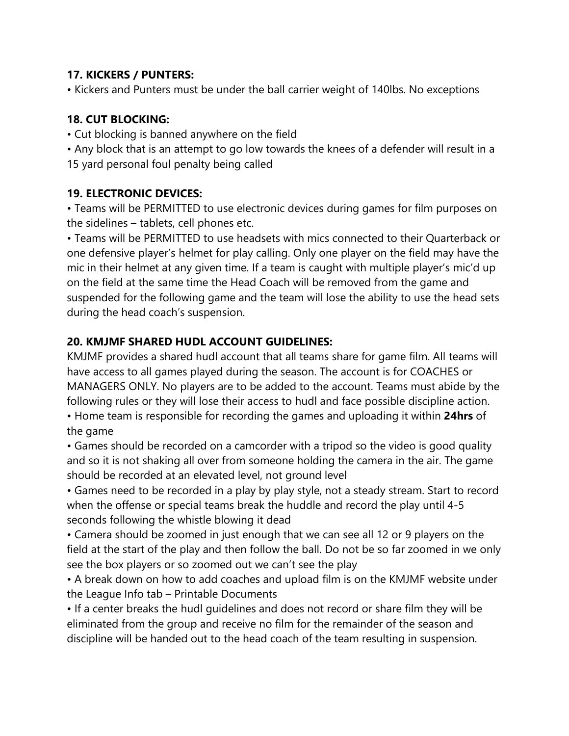#### **17. KICKERS / PUNTERS:**

• Kickers and Punters must be under the ball carrier weight of 140lbs. No exceptions

#### **18. CUT BLOCKING:**

• Cut blocking is banned anywhere on the field

• Any block that is an attempt to go low towards the knees of a defender will result in a 15 yard personal foul penalty being called

### **19. ELECTRONIC DEVICES:**

• Teams will be PERMITTED to use electronic devices during games for film purposes on the sidelines – tablets, cell phones etc.

• Teams will be PERMITTED to use headsets with mics connected to their Quarterback or one defensive player's helmet for play calling. Only one player on the field may have the mic in their helmet at any given time. If a team is caught with multiple player's mic'd up on the field at the same time the Head Coach will be removed from the game and suspended for the following game and the team will lose the ability to use the head sets during the head coach's suspension.

# **20. KMJMF SHARED HUDL ACCOUNT GUIDELINES:**

KMJMF provides a shared hudl account that all teams share for game film. All teams will have access to all games played during the season. The account is for COACHES or MANAGERS ONLY. No players are to be added to the account. Teams must abide by the following rules or they will lose their access to hudl and face possible discipline action.

• Home team is responsible for recording the games and uploading it within **24hrs** of the game

• Games should be recorded on a camcorder with a tripod so the video is good quality and so it is not shaking all over from someone holding the camera in the air. The game should be recorded at an elevated level, not ground level

• Games need to be recorded in a play by play style, not a steady stream. Start to record when the offense or special teams break the huddle and record the play until 4-5 seconds following the whistle blowing it dead

• Camera should be zoomed in just enough that we can see all 12 or 9 players on the field at the start of the play and then follow the ball. Do not be so far zoomed in we only see the box players or so zoomed out we can't see the play

• A break down on how to add coaches and upload film is on the KMJMF website under the League Info tab – Printable Documents

• If a center breaks the hudl guidelines and does not record or share film they will be eliminated from the group and receive no film for the remainder of the season and discipline will be handed out to the head coach of the team resulting in suspension.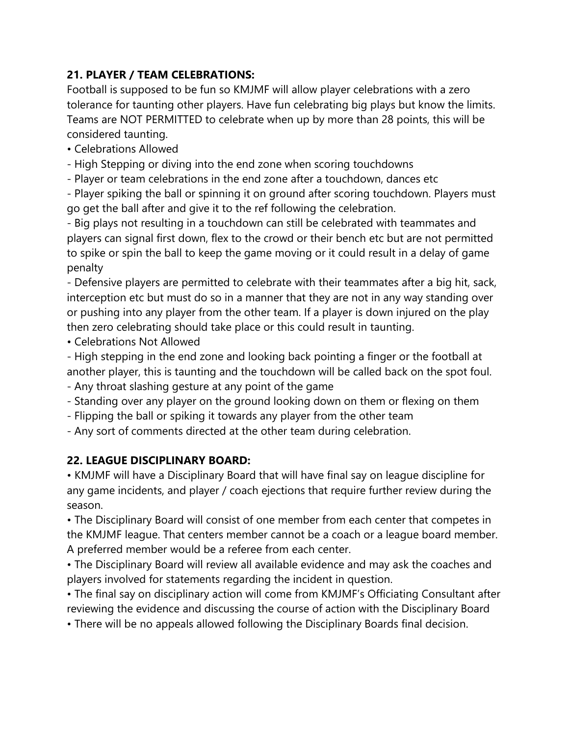# **21. PLAYER / TEAM CELEBRATIONS:**

Football is supposed to be fun so KMJMF will allow player celebrations with a zero tolerance for taunting other players. Have fun celebrating big plays but know the limits. Teams are NOT PERMITTED to celebrate when up by more than 28 points, this will be considered taunting.

- Celebrations Allowed
- High Stepping or diving into the end zone when scoring touchdowns
- Player or team celebrations in the end zone after a touchdown, dances etc

- Player spiking the ball or spinning it on ground after scoring touchdown. Players must go get the ball after and give it to the ref following the celebration.

- Big plays not resulting in a touchdown can still be celebrated with teammates and players can signal first down, flex to the crowd or their bench etc but are not permitted to spike or spin the ball to keep the game moving or it could result in a delay of game penalty

- Defensive players are permitted to celebrate with their teammates after a big hit, sack, interception etc but must do so in a manner that they are not in any way standing over or pushing into any player from the other team. If a player is down injured on the play then zero celebrating should take place or this could result in taunting.

• Celebrations Not Allowed

- High stepping in the end zone and looking back pointing a finger or the football at another player, this is taunting and the touchdown will be called back on the spot foul.

- Any throat slashing gesture at any point of the game
- Standing over any player on the ground looking down on them or flexing on them
- Flipping the ball or spiking it towards any player from the other team
- Any sort of comments directed at the other team during celebration.

#### **22. LEAGUE DISCIPLINARY BOARD:**

• KMJMF will have a Disciplinary Board that will have final say on league discipline for any game incidents, and player / coach ejections that require further review during the season.

• The Disciplinary Board will consist of one member from each center that competes in the KMJMF league. That centers member cannot be a coach or a league board member. A preferred member would be a referee from each center.

• The Disciplinary Board will review all available evidence and may ask the coaches and players involved for statements regarding the incident in question.

• The final say on disciplinary action will come from KMJMF's Officiating Consultant after reviewing the evidence and discussing the course of action with the Disciplinary Board

• There will be no appeals allowed following the Disciplinary Boards final decision.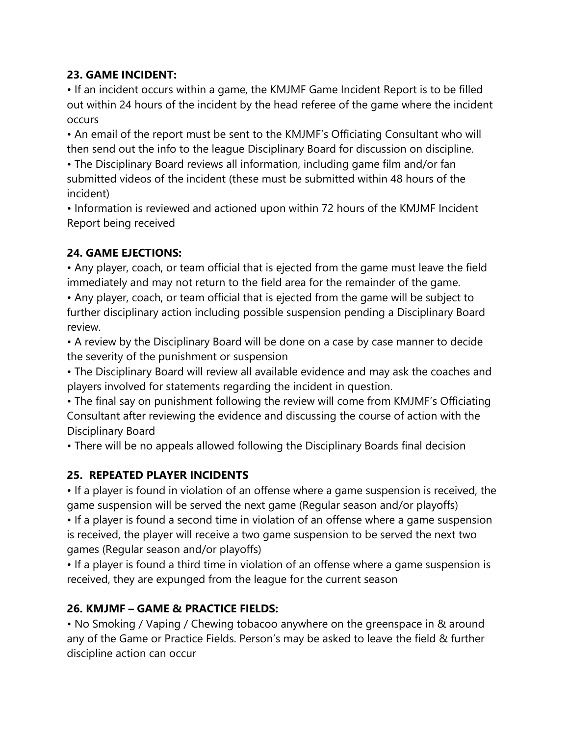#### **23. GAME INCIDENT:**

• If an incident occurs within a game, the KMJMF Game Incident Report is to be filled out within 24 hours of the incident by the head referee of the game where the incident occurs

• An email of the report must be sent to the KMJMF's Officiating Consultant who will then send out the info to the league Disciplinary Board for discussion on discipline.

• The Disciplinary Board reviews all information, including game film and/or fan submitted videos of the incident (these must be submitted within 48 hours of the incident)

• Information is reviewed and actioned upon within 72 hours of the KMJMF Incident Report being received

# **24. GAME EJECTIONS:**

• Any player, coach, or team official that is ejected from the game must leave the field immediately and may not return to the field area for the remainder of the game.

• Any player, coach, or team official that is ejected from the game will be subject to further disciplinary action including possible suspension pending a Disciplinary Board review.

• A review by the Disciplinary Board will be done on a case by case manner to decide the severity of the punishment or suspension

• The Disciplinary Board will review all available evidence and may ask the coaches and players involved for statements regarding the incident in question.

• The final say on punishment following the review will come from KMJMF's Officiating Consultant after reviewing the evidence and discussing the course of action with the Disciplinary Board

• There will be no appeals allowed following the Disciplinary Boards final decision

# **25. REPEATED PLAYER INCIDENTS**

• If a player is found in violation of an offense where a game suspension is received, the game suspension will be served the next game (Regular season and/or playoffs) • If a player is found a second time in violation of an offense where a game suspension is received, the player will receive a two game suspension to be served the next two games (Regular season and/or playoffs)

• If a player is found a third time in violation of an offense where a game suspension is received, they are expunged from the league for the current season

# **26. KMJMF – GAME & PRACTICE FIELDS:**

• No Smoking / Vaping / Chewing tobacoo anywhere on the greenspace in & around any of the Game or Practice Fields. Person's may be asked to leave the field & further discipline action can occur